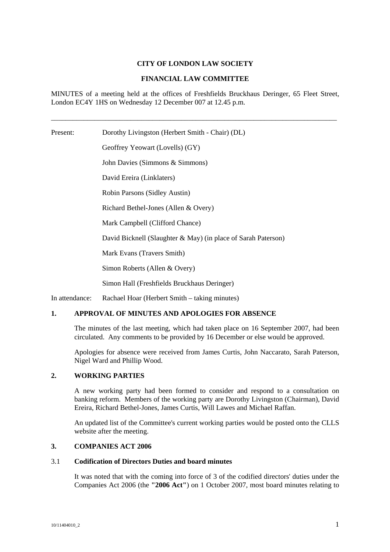# **CITY OF LONDON LAW SOCIETY**

# **FINANCIAL LAW COMMITTEE**

MINUTES of a meeting held at the offices of Freshfields Bruckhaus Deringer, 65 Fleet Street, London EC4Y 1HS on Wednesday 12 December 007 at 12.45 p.m.

\_\_\_\_\_\_\_\_\_\_\_\_\_\_\_\_\_\_\_\_\_\_\_\_\_\_\_\_\_\_\_\_\_\_\_\_\_\_\_\_\_\_\_\_\_\_\_\_\_\_\_\_\_\_\_\_\_\_\_\_\_\_\_\_\_\_\_\_\_\_\_\_\_\_\_\_\_\_\_

Present: Dorothy Livingston (Herbert Smith - Chair) (DL) Geoffrey Yeowart (Lovells) (GY) John Davies (Simmons & Simmons) David Ereira (Linklaters) Robin Parsons (Sidley Austin) Richard Bethel-Jones (Allen & Overy) Mark Campbell (Clifford Chance) David Bicknell (Slaughter & May) (in place of Sarah Paterson) Mark Evans (Travers Smith) Simon Roberts (Allen & Overy) Simon Hall (Freshfields Bruckhaus Deringer)

In attendance: Rachael Hoar (Herbert Smith – taking minutes)

# **1. APPROVAL OF MINUTES AND APOLOGIES FOR ABSENCE**

The minutes of the last meeting, which had taken place on 16 September 2007, had been circulated. Any comments to be provided by 16 December or else would be approved.

Apologies for absence were received from James Curtis, John Naccarato, Sarah Paterson, Nigel Ward and Phillip Wood.

#### **2. WORKING PARTIES**

A new working party had been formed to consider and respond to a consultation on banking reform. Members of the working party are Dorothy Livingston (Chairman), David Ereira, Richard Bethel-Jones, James Curtis, Will Lawes and Michael Raffan.

An updated list of the Committee's current working parties would be posted onto the CLLS website after the meeting.

### **3. COMPANIES ACT 2006**

#### 3.1 **Codification of Directors Duties and board minutes**

It was noted that with the coming into force of 3 of the codified directors' duties under the Companies Act 2006 (the **"2006 Act"**) on 1 October 2007, most board minutes relating to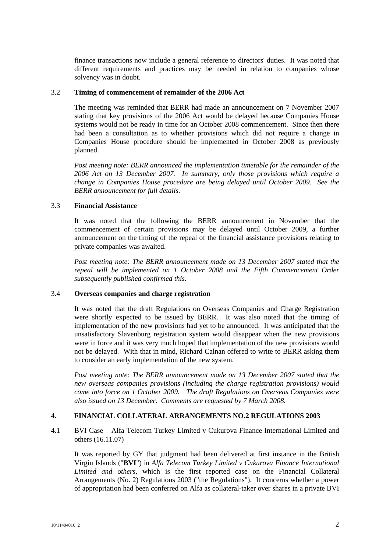finance transactions now include a general reference to directors' duties. It was noted that different requirements and practices may be needed in relation to companies whose solvency was in doubt.

### 3.2 **Timing of commencement of remainder of the 2006 Act**

The meeting was reminded that BERR had made an announcement on 7 November 2007 stating that key provisions of the 2006 Act would be delayed because Companies House systems would not be ready in time for an October 2008 commencement. Since then there had been a consultation as to whether provisions which did not require a change in Companies House procedure should be implemented in October 2008 as previously planned.

*Post meeting note: BERR announced the implementation timetable for the remainder of the 2006 Act on 13 December 2007. In summary, only those provisions which require a change in Companies House procedure are being delayed until October 2009. See the BERR announcement for full details.*

### 3.3 **Financial Assistance**

It was noted that the following the BERR announcement in November that the commencement of certain provisions may be delayed until October 2009, a further announcement on the timing of the repeal of the financial assistance provisions relating to private companies was awaited.

*Post meeting note: The BERR announcement made on 13 December 2007 stated that the repeal will be implemented on 1 October 2008 and the Fifth Commencement Order subsequently published confirmed this.*

# 3.4 **Overseas companies and charge registration**

It was noted that the draft Regulations on Overseas Companies and Charge Registration were shortly expected to be issued by BERR. It was also noted that the timing of implementation of the new provisions had yet to be announced. It was anticipated that the unsatisfactory Slavenburg registration system would disappear when the new provisions were in force and it was very much hoped that implementation of the new provisions would not be delayed. With that in mind, Richard Calnan offered to write to BERR asking them to consider an early implementation of the new system.

*Post meeting note: The BERR announcement made on 13 December 2007 stated that the new overseas companies provisions (including the charge registration provisions) would come into force on 1 October 2009. The draft Regulations on Overseas Companies were also issued on 13 December. Comments are requested by 7 March 2008.*

# **4. FINANCIAL COLLATERAL ARRANGEMENTS NO.2 REGULATIONS 2003**

4.1 BVI Case – Alfa Telecom Turkey Limited v Cukurova Finance International Limited and others (16.11.07)

It was reported by GY that judgment had been delivered at first instance in the British Virgin Islands ("**BVI**") in *Alfa Telecom Turkey Limited v Cukurova Finance International Limited and others*, which is the first reported case on the Financial Collateral Arrangements (No. 2) Regulations 2003 ("the Regulations"). It concerns whether a power of appropriation had been conferred on Alfa as collateral-taker over shares in a private BVI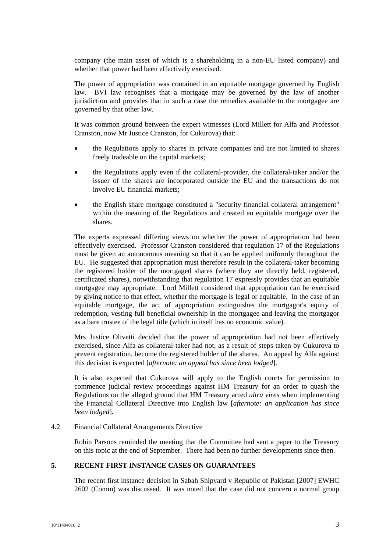company (the main asset of which is a shareholding in a non-EU listed company) and whether that power had been effectively exercised.

The power of appropriation was contained in an equitable mortgage governed by English law. BVI law recognises that a mortgage may be governed by the law of another jurisdiction and provides that in such a case the remedies available to the mortgagee are governed by that other law.

It was common ground between the expert witnesses (Lord Millett for Alfa and Professor Cranston, now Mr Justice Cranston, for Cukurova) that:

- the Regulations apply to shares in private companies and are not limited to shares freely tradeable on the capital markets;
- the Regulations apply even if the collateral-provider, the collateral-taker and/or the issuer of the shares are incorporated outside the EU and the transactions do not involve EU financial markets;
- the English share mortgage constituted a "security financial collateral arrangement" within the meaning of the Regulations and created an equitable mortgage over the shares.

The experts expressed differing views on whether the power of appropriation had been effectively exercised. Professor Cranston considered that regulation 17 of the Regulations must be given an autonomous meaning so that it can be applied uniformly throughout the EU. He suggested that appropriation must therefore result in the collateral-taker becoming the registered holder of the mortgaged shares (where they are directly held, registered, certificated shares), notwithstanding that regulation 17 expressly provides that an equitable mortgagee may appropriate. Lord Millett considered that appropriation can be exercised by giving notice to that effect, whether the mortgage is legal or equitable. In the case of an equitable mortgage, the act of appropriation extinguishes the mortgagor's equity of redemption, vesting full beneficial ownership in the mortgagee and leaving the mortgagor as a bare trustee of the legal title (which in itself has no economic value).

Mrs Justice Olivetti decided that the power of appropriation had not been effectively exercised, since Alfa as collateral-taker had not, as a result of steps taken by Cukurova to prevent registration, become the registered holder of the shares. An appeal by Alfa against this decision is expected [*afternote: an appeal has since been lodged*].

It is also expected that Cukurova will apply to the English courts for permission to commence judicial review proceedings against HM Treasury for an order to quash the Regulations on the alleged ground that HM Treasury acted *ultra vires* when implementing the Financial Collateral Directive into English law [*afternote: an application has since been lodged*].

### 4.2 Financial Collateral Arrangements Directive

Robin Parsons reminded the meeting that the Committee had sent a paper to the Treasury on this topic at the end of September. There had been no further developments since then.

### **5. RECENT FIRST INSTANCE CASES ON GUARANTEES**

The recent first instance decision in Sabah Shipyard v Republic of Pakistan [2007] EWHC 2602 (Comm) was discussed. It was noted that the case did not concern a normal group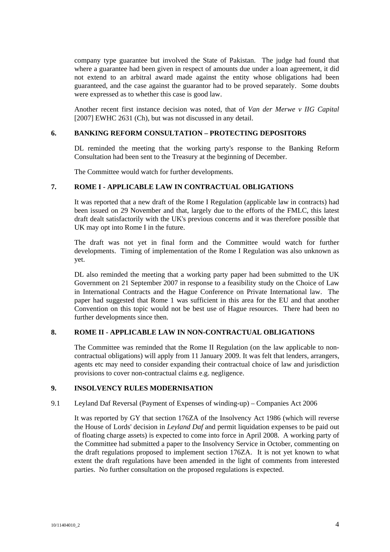company type guarantee but involved the State of Pakistan. The judge had found that where a guarantee had been given in respect of amounts due under a loan agreement, it did not extend to an arbitral award made against the entity whose obligations had been guaranteed, and the case against the guarantor had to be proved separately. Some doubts were expressed as to whether this case is good law.

Another recent first instance decision was noted, that of *Van der Merwe v IIG Capital* [2007] EWHC 2631 (Ch), but was not discussed in any detail.

# **6. BANKING REFORM CONSULTATION – PROTECTING DEPOSITORS**

DL reminded the meeting that the working party's response to the Banking Reform Consultation had been sent to the Treasury at the beginning of December.

The Committee would watch for further developments.

#### **7. ROME I - APPLICABLE LAW IN CONTRACTUAL OBLIGATIONS**

It was reported that a new draft of the Rome I Regulation (applicable law in contracts) had been issued on 29 November and that, largely due to the efforts of the FMLC, this latest draft dealt satisfactorily with the UK's previous concerns and it was therefore possible that UK may opt into Rome I in the future.

The draft was not yet in final form and the Committee would watch for further developments. Timing of implementation of the Rome I Regulation was also unknown as yet.

DL also reminded the meeting that a working party paper had been submitted to the UK Government on 21 September 2007 in response to a feasibility study on the Choice of Law in International Contracts and the Hague Conference on Private International law. The paper had suggested that Rome 1 was sufficient in this area for the EU and that another Convention on this topic would not be best use of Hague resources. There had been no further developments since then.

# **8. ROME II - APPLICABLE LAW IN NON-CONTRACTUAL OBLIGATIONS**

The Committee was reminded that the Rome II Regulation (on the law applicable to noncontractual obligations) will apply from 11 January 2009. It was felt that lenders, arrangers, agents etc may need to consider expanding their contractual choice of law and jurisdiction provisions to cover non-contractual claims e.g. negligence.

# **9. INSOLVENCY RULES MODERNISATION**

#### 9.1 Leyland Daf Reversal (Payment of Expenses of winding-up) – Companies Act 2006

It was reported by GY that section 176ZA of the Insolvency Act 1986 (which will reverse the House of Lords' decision in *Leyland Daf* and permit liquidation expenses to be paid out of floating charge assets) is expected to come into force in April 2008. A working party of the Committee had submitted a paper to the Insolvency Service in October, commenting on the draft regulations proposed to implement section 176ZA. It is not yet known to what extent the draft regulations have been amended in the light of comments from interested parties. No further consultation on the proposed regulations is expected.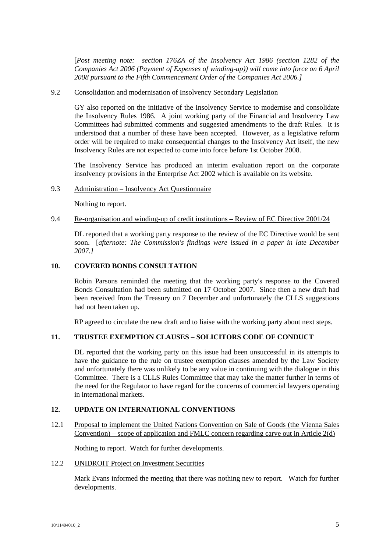[*Post meeting note: section 176ZA of the Insolvency Act 1986 (section 1282 of the Companies Act 2006 (Payment of Expenses of winding-up)) will come into force on 6 April 2008 pursuant to the Fifth Commencement Order of the Companies Act 2006.]*

#### 9.2 Consolidation and modernisation of Insolvency Secondary Legislation

GY also reported on the initiative of the Insolvency Service to modernise and consolidate the Insolvency Rules 1986. A joint working party of the Financial and Insolvency Law Committees had submitted comments and suggested amendments to the draft Rules. It is understood that a number of these have been accepted. However, as a legislative reform order will be required to make consequential changes to the Insolvency Act itself, the new Insolvency Rules are not expected to come into force before 1st October 2008.

The Insolvency Service has produced an interim evaluation report on the corporate insolvency provisions in the Enterprise Act 2002 which is available on its website.

#### 9.3 Administration – Insolvency Act Questionnaire

Nothing to report.

# 9.4 Re-organisation and winding-up of credit institutions – Review of EC Directive 2001/24

DL reported that a working party response to the review of the EC Directive would be sent soon. [*afternote: The Commission's findings were issued in a paper in late December 2007.]*

# **10. COVERED BONDS CONSULTATION**

Robin Parsons reminded the meeting that the working party's response to the Covered Bonds Consultation had been submitted on 17 October 2007. Since then a new draft had been received from the Treasury on 7 December and unfortunately the CLLS suggestions had not been taken up.

RP agreed to circulate the new draft and to liaise with the working party about next steps.

# **11. TRUSTEE EXEMPTION CLAUSES – SOLICITORS CODE OF CONDUCT**

DL reported that the working party on this issue had been unsuccessful in its attempts to have the guidance to the rule on trustee exemption clauses amended by the Law Society and unfortunately there was unlikely to be any value in continuing with the dialogue in this Committee. There is a CLLS Rules Committee that may take the matter further in terms of the need for the Regulator to have regard for the concerns of commercial lawyers operating in international markets.

# **12. UPDATE ON INTERNATIONAL CONVENTIONS**

12.1 Proposal to implement the United Nations Convention on Sale of Goods (the Vienna Sales Convention) – scope of application and FMLC concern regarding carve out in Article  $2(d)$ 

Nothing to report. Watch for further developments.

#### 12.2 UNIDROIT Project on Investment Securities

Mark Evans informed the meeting that there was nothing new to report. Watch for further developments.